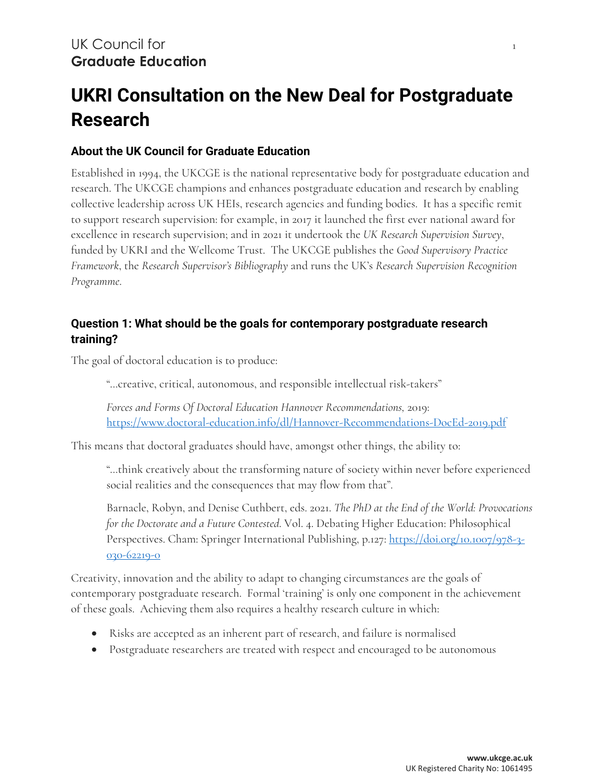# **UKRI Consultation on the New Deal for Postgraduate Research**

## **About the UK Council for Graduate Education**

Established in 1994, the UKCGE is the national representative body for postgraduate education and research. The UKCGE champions and enhances postgraduate education and research by enabling collective leadership across UK HEIs, research agencies and funding bodies. It has a specific remit to support research supervision: for example, in 2017 it launched the first ever national award for excellence in research supervision; and in 2021 it undertook the *UK Research Supervision Survey*, funded by UKRI and the Wellcome Trust. The UKCGE publishes the *Good Supervisory Practice Framework*, the *Research Supervisor's Bibliography* and runs the UK's *Research Supervision Recognition Programme*.

### **Question 1: What should be the goals for contemporary postgraduate research training?**

The goal of doctoral education is to produce:

"…creative, critical, autonomous, and responsible intellectual risk-takers"

*Forces and Forms Of Doctoral Education Hannover Recommendations,* 2019: <https://www.doctoral-education.info/dl/Hannover-Recommendations-DocEd-2019.pdf>

This means that doctoral graduates should have, amongst other things, the ability to:

"…think creatively about the transforming nature of society within never before experienced social realities and the consequences that may flow from that".

Barnacle, Robyn, and Denise Cuthbert, eds. 2021. *The PhD at the End of the World: Provocations for the Doctorate and a Future Contested*. Vol. 4. Debating Higher Education: Philosophical Perspectives. Cham: Springer International Publishing, p.127: [https://doi.org/10.1007/978-3-](https://doi.org/10.1007/978-3-030-62219-0) [030-62219-0](https://doi.org/10.1007/978-3-030-62219-0)

Creativity, innovation and the ability to adapt to changing circumstances are the goals of contemporary postgraduate research. Formal 'training' is only one component in the achievement of these goals. Achieving them also requires a healthy research culture in which:

- Risks are accepted as an inherent part of research, and failure is normalised
- Postgraduate researchers are treated with respect and encouraged to be autonomous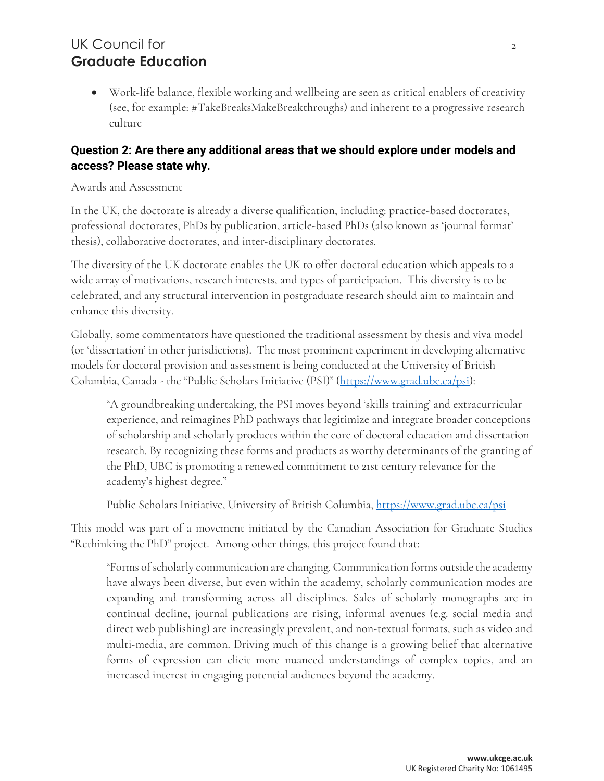# UK Council for 2 **Graduate Education**

• Work-life balance, flexible working and wellbeing are seen as critical enablers of creativity (see, for example: #TakeBreaksMakeBreakthroughs) and inherent to a progressive research culture

## **Question 2: Are there any additional areas that we should explore under models and access? Please state why.**

#### Awards and Assessment

In the UK, the doctorate is already a diverse qualification, including: practice-based doctorates, professional doctorates, PhDs by publication, article-based PhDs (also known as 'journal format' thesis), collaborative doctorates, and inter-disciplinary doctorates.

The diversity of the UK doctorate enables the UK to offer doctoral education which appeals to a wide array of motivations, research interests, and types of participation. This diversity is to be celebrated, and any structural intervention in postgraduate research should aim to maintain and enhance this diversity.

Globally, some commentators have questioned the traditional assessment by thesis and viva model (or 'dissertation' in other jurisdictions). The most prominent experiment in developing alternative models for doctoral provision and assessment is being conducted at the University of British Columbia, Canada - the "Public Scholars Initiative (PSI)" [\(https://www.grad.ubc.ca/psi\)](https://www.grad.ubc.ca/psi):

"A groundbreaking undertaking, the PSI moves beyond 'skills training' and extracurricular experience, and reimagines PhD pathways that legitimize and integrate broader conceptions of scholarship and scholarly products within the core of doctoral education and dissertation research. By recognizing these forms and products as worthy determinants of the granting of the PhD, UBC is promoting a renewed commitment to 21st century relevance for the academy's highest degree."

Public Scholars Initiative, University of British Columbia, <u>https://www.grad.ubc.ca/psi</u>

This model was part of a movement initiated by the Canadian Association for Graduate Studies "Rethinking the PhD" project. Among other things, this project found that:

"Forms of scholarly communication are changing. Communication forms outside the academy have always been diverse, but even within the academy, scholarly communication modes are expanding and transforming across all disciplines. Sales of scholarly monographs are in continual decline, journal publications are rising, informal avenues (e.g. social media and direct web publishing) are increasingly prevalent, and non-textual formats, such as video and multi-media, are common. Driving much of this change is a growing belief that alternative forms of expression can elicit more nuanced understandings of complex topics, and an increased interest in engaging potential audiences beyond the academy.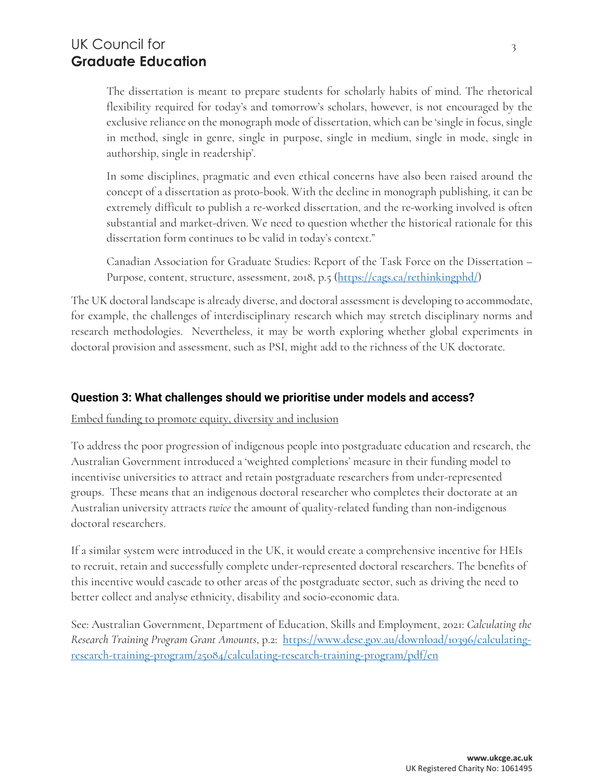# UK Council for 3 **Graduate Education**

The dissertation is meant to prepare students for scholarly habits of mind. The rhetorical flexibility required for today's and tomorrow's scholars, however, is not encouraged by the exclusive reliance on the monograph mode of dissertation, which can be 'single in focus, single in method, single in genre, single in purpose, single in medium, single in mode, single in authorship, single in readership'.

In some disciplines, pragmatic and even ethical concerns have also been raised around the concept of a dissertation as proto-book. With the decline in monograph publishing, it can be extremely difficult to publish a re-worked dissertation, and the re-working involved is often substantial and market-driven. We need to question whether the historical rationale for this dissertation form continues to be valid in today's context."

Canadian Association for Graduate Studies: Report of the Task Force on the Dissertation – Purpose, content, structure, assessment, 2018, p.5 [\(https://cags.ca/rethinkingphd/\)](https://cags.ca/rethinkingphd/)

The UK doctoral landscape is already diverse, and doctoral assessment is developing to accommodate, for example, the challenges of interdisciplinary research which may stretch disciplinary norms and research methodologies. Nevertheless, it may be worth exploring whether global experiments in doctoral provision and assessment, such as PSI, might add to the richness of the UK doctorate.

### **Question 3: What challenges should we prioritise under models and access?**

Embed funding to promote equity, diversity and inclusion

To address the poor progression of indigenous people into postgraduate education and research, the Australian Government introduced a 'weighted completions' measure in their funding model to incentivise universities to attract and retain postgraduate researchers from under-represented groups. These means that an indigenous doctoral researcher who completes their doctorate at an Australian university attracts *twice* the amount of quality-related funding than non-indigenous doctoral researchers.

If a similar system were introduced in the UK, it would create a comprehensive incentive for HEIs to recruit, retain and successfully complete under-represented doctoral researchers. The benefits of this incentive would cascade to other areas of the postgraduate sector, such as driving the need to better collect and analyse ethnicity, disability and socio-economic data.

See: Australian Government, Department of Education, Skills and Employment, 2021: *Calculating the Research Training Program Grant Amounts*, p.2: [https://www.dese.gov.au/download/10396/calculating](https://www.dese.gov.au/download/10396/calculating-research-training-program/25084/calculating-research-training-program/pdf/en)[research-training-program/25084/calculating-research-training-program/pdf/en](https://www.dese.gov.au/download/10396/calculating-research-training-program/25084/calculating-research-training-program/pdf/en)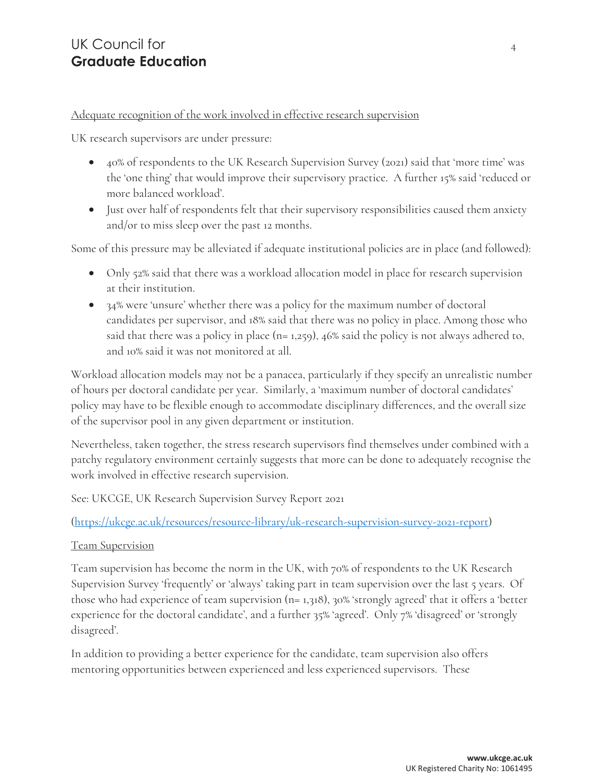### Adequate recognition of the work involved in effective research supervision

UK research supervisors are under pressure:

- 40% of respondents to the UK Research Supervision Survey (2021) said that 'more time' was the 'one thing' that would improve their supervisory practice. A further 15% said 'reduced or more balanced workload'.
- Just over half of respondents felt that their supervisory responsibilities caused them anxiety and/or to miss sleep over the past 12 months.

Some of this pressure may be alleviated if adequate institutional policies are in place (and followed):

- Only 52% said that there was a workload allocation model in place for research supervision at their institution.
- 34% were 'unsure' whether there was a policy for the maximum number of doctoral candidates per supervisor, and 18% said that there was no policy in place. Among those who said that there was a policy in place ( $n=1,259$ ), 46% said the policy is not always adhered to, and 10% said it was not monitored at all.

Workload allocation models may not be a panacea, particularly if they specify an unrealistic number of hours per doctoral candidate per year. Similarly, a 'maximum number of doctoral candidates' policy may have to be flexible enough to accommodate disciplinary differences, and the overall size of the supervisor pool in any given department or institution.

Nevertheless, taken together, the stress research supervisors find themselves under combined with a patchy regulatory environment certainly suggests that more can be done to adequately recognise the work involved in effective research supervision.

See: UKCGE, UK Research Supervision Survey Report 2021

### [\(https://ukcge.ac.uk/resources/resource-library/uk-research-supervision-survey-2021-report\)](https://ukcge.ac.uk/resources/resource-library/uk-research-supervision-survey-2021-report)

### Team Supervision

Team supervision has become the norm in the UK, with 70% of respondents to the UK Research Supervision Survey 'frequently' or 'always' taking part in team supervision over the last 5 years. Of those who had experience of team supervision (n= 1,318), 30% 'strongly agreed' that it offers a 'better experience for the doctoral candidate', and a further 35% 'agreed'. Only 7% 'disagreed' or 'strongly disagreed'.

In addition to providing a better experience for the candidate, team supervision also offers mentoring opportunities between experienced and less experienced supervisors. These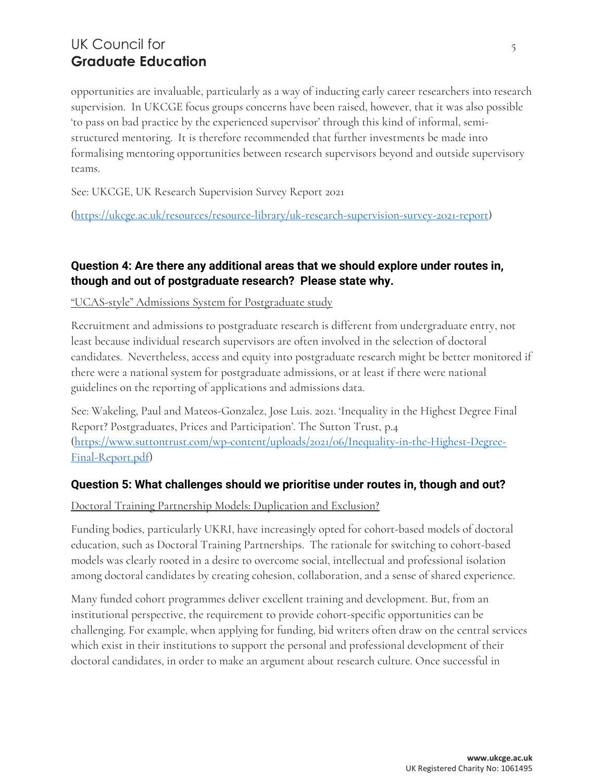# UK Council for 55 and 55 and 55 and 55 and 55 and 55 and 55 and 55 and 55 and 55 and 55 and 55 and 55 and 55 and 55 and 55 and 55 and 55 and 55 and 55 and 55 and 55 and 55 and 55 and 55 and 55 and 55 and 55 and 55 and 55 a **Graduate Education**

opportunities are invaluable, particularly as a way of inducting early career researchers into research supervision. In UKCGE focus groups concerns have been raised, however, that it was also possible 'to pass on bad practice by the experienced supervisor' through this kind of informal, semistructured mentoring. It is therefore recommended that further investments be made into formalising mentoring opportunities between research supervisors beyond and outside supervisory teams.

See: UKCGE, UK Research Supervision Survey Report 2021

[\(https://ukcge.ac.uk/resources/resource-library/uk-research-supervision-survey-2021-report\)](https://ukcge.ac.uk/resources/resource-library/uk-research-supervision-survey-2021-report)

### **Question 4: Are there any additional areas that we should explore under routes in, though and out of postgraduate research? Please state why.**

#### "UCAS-style" Admissions System for Postgraduate study

Recruitment and admissions to postgraduate research is different from undergraduate entry, not least because individual research supervisors are often involved in the selection of doctoral candidates. Nevertheless, access and equity into postgraduate research might be better monitored if there were a national system for postgraduate admissions, or at least if there were national guidelines on the reporting of applications and admissions data.

See: Wakeling, Paul and Mateos-Gonzalez, Jose Luis. 2021. 'Inequality in the Highest Degree Final Report? Postgraduates, Prices and Participation'. The Sutton Trust, p.4 [\(https://www.suttontrust.com/wp-content/uploads/2021/06/Inequality-in-the-Highest-Degree-](https://www.suttontrust.com/wp-content/uploads/2021/06/Inequality-in-the-Highest-Degree-Final-Report.pdf)[Final-Report.pdf\)](https://www.suttontrust.com/wp-content/uploads/2021/06/Inequality-in-the-Highest-Degree-Final-Report.pdf)

### **Question 5: What challenges should we prioritise under routes in, though and out?**

#### Doctoral Training Partnership Models: Duplication and Exclusion?

Funding bodies, particularly UKRI, have increasingly opted for cohort-based models of doctoral education, such as Doctoral Training Partnerships. The rationale for switching to cohort-based models was clearly rooted in a desire to overcome social, intellectual and professional isolation among doctoral candidates by creating cohesion, collaboration, and a sense of shared experience.

Many funded cohort programmes deliver excellent training and development. But, from an institutional perspective, the requirement to provide cohort-specific opportunities can be challenging. For example, when applying for funding, bid writers often draw on the central services which exist in their institutions to support the personal and professional development of their doctoral candidates, in order to make an argument about research culture. Once successful in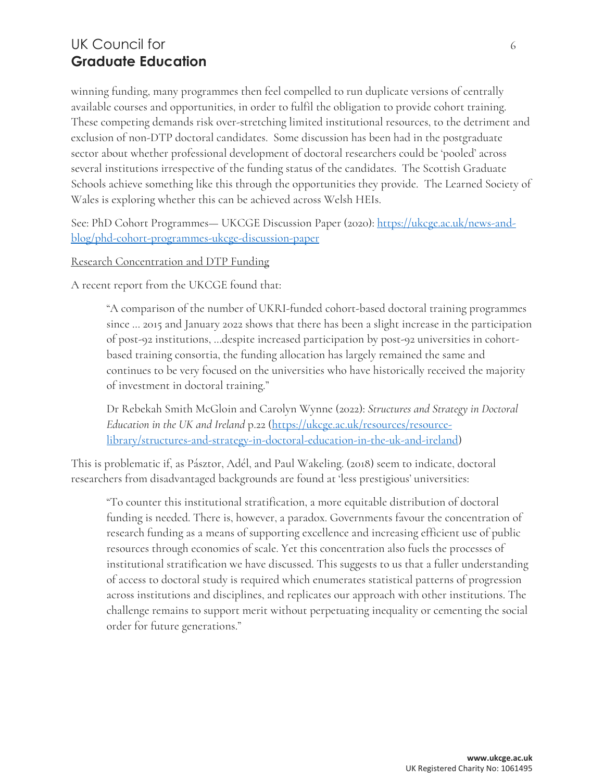# UK Council for 600  $\leq$  600  $\leq$  600  $\leq$  600  $\leq$  600  $\leq$  600  $\leq$  600  $\leq$  600  $\leq$  600  $\leq$  600  $\leq$  600  $\leq$  600  $\leq$  600  $\leq$  600  $\leq$  600  $\leq$  600  $\leq$  600  $\leq$  600  $\leq$  600  $\leq$  600  $\leq$  600  $\le$ **Graduate Education**

winning funding, many programmes then feel compelled to run duplicate versions of centrally available courses and opportunities, in order to fulfil the obligation to provide cohort training. These competing demands risk over-stretching limited institutional resources, to the detriment and exclusion of non-DTP doctoral candidates. Some discussion has been had in the postgraduate sector about whether professional development of doctoral researchers could be 'pooled' across several institutions irrespective of the funding status of the candidates. The Scottish Graduate Schools achieve something like this through the opportunities they provide. The Learned Society of Wales is exploring whether this can be achieved across Welsh HEIs.

See: PhD Cohort Programmes— UKCGE Discussion Paper (2020): [https://ukcge.ac.uk/news-and](https://ukcge.ac.uk/news-and-blog/phd-cohort-programmes-ukcge-discussion-paper)[blog/phd-cohort-programmes-ukcge-discussion-paper](https://ukcge.ac.uk/news-and-blog/phd-cohort-programmes-ukcge-discussion-paper)

Research Concentration and DTP Funding

A recent report from the UKCGE found that:

"A comparison of the number of UKRI-funded cohort-based doctoral training programmes since … 2015 and January 2022 shows that there has been a slight increase in the participation of post-92 institutions, …despite increased participation by post-92 universities in cohortbased training consortia, the funding allocation has largely remained the same and continues to be very focused on the universities who have historically received the majority of investment in doctoral training."

Dr Rebekah Smith McGloin and Carolyn Wynne (2022): *Structures and Strategy in Doctoral Education in the UK and Ireland* p.22 [\(https://ukcge.ac.uk/resources/resource](https://ukcge.ac.uk/resources/resource-library/structures-and-strategy-in-doctoral-education-in-the-uk-and-ireland)[library/structures-and-strategy-in-doctoral-education-in-the-uk-and-ireland\)](https://ukcge.ac.uk/resources/resource-library/structures-and-strategy-in-doctoral-education-in-the-uk-and-ireland)

This is problematic if, as Pásztor, Adél, and Paul Wakeling. (2018) seem to indicate, doctoral researchers from disadvantaged backgrounds are found at 'less prestigious' universities:

"To counter this institutional stratification, a more equitable distribution of doctoral funding is needed. There is, however, a paradox. Governments favour the concentration of research funding as a means of supporting excellence and increasing efficient use of public resources through economies of scale. Yet this concentration also fuels the processes of institutional stratification we have discussed. This suggests to us that a fuller understanding of access to doctoral study is required which enumerates statistical patterns of progression across institutions and disciplines, and replicates our approach with other institutions. The challenge remains to support merit without perpetuating inequality or cementing the social order for future generations."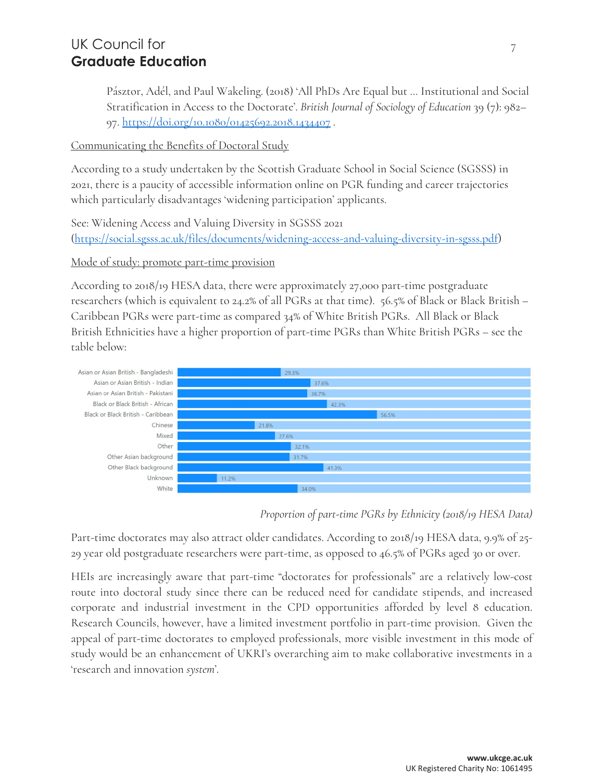# UK Council for  $7<sup>7</sup>$ **Graduate Education**

Pásztor, Adél, and Paul Wakeling. (2018) 'All PhDs Are Equal but … Institutional and Social Stratification in Access to the Doctorate'. *British Journal of Sociology of Education* 39 (7): 982– 97.<https://doi.org/10.1080/01425692.2018.1434407> .

### Communicating the Benefits of Doctoral Study

According to a study undertaken by the Scottish Graduate School in Social Science (SGSSS) in 2021, there is a paucity of accessible information online on PGR funding and career trajectories which particularly disadvantages 'widening participation' applicants.

See: Widening Access and Valuing Diversity in SGSSS 2021 [\(https://social.sgsss.ac.uk/files/documents/widening-access-and-valuing-diversity-in-sgsss.pdf\)](https://social.sgsss.ac.uk/files/documents/widening-access-and-valuing-diversity-in-sgsss.pdf)

### Mode of study: promote part-time provision

According to 2018/19 HESA data, there were approximately 27,000 part-time postgraduate researchers (which is equivalent to 24.2% of all PGRs at that time). 56.5% of Black or Black British – Caribbean PGRs were part-time as compared 34% of White British PGRs. All Black or Black British Ethnicities have a higher proportion of part-time PGRs than White British PGRs – see the table below:



*Proportion of part-time PGRs by Ethnicity (2018/19 HESA Data)*

Part-time doctorates may also attract older candidates. According to 2018/19 HESA data, 9.9% of 25- 29 year old postgraduate researchers were part-time, as opposed to 46.5% of PGRs aged 30 or over.

HEIs are increasingly aware that part-time "doctorates for professionals" are a relatively low-cost route into doctoral study since there can be reduced need for candidate stipends, and increased corporate and industrial investment in the CPD opportunities afforded by level 8 education. Research Councils, however, have a limited investment portfolio in part-time provision. Given the appeal of part-time doctorates to employed professionals, more visible investment in this mode of study would be an enhancement of UKRI's overarching aim to make collaborative investments in a 'research and innovation *system*'.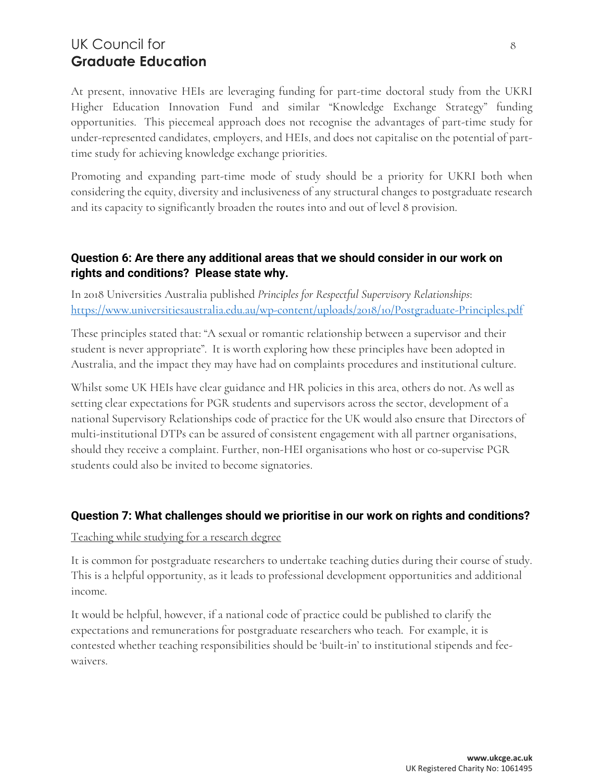# UK Council for 8 **Graduate Education**

At present, innovative HEIs are leveraging funding for part-time doctoral study from the UKRI Higher Education Innovation Fund and similar "Knowledge Exchange Strategy" funding opportunities. This piecemeal approach does not recognise the advantages of part-time study for under-represented candidates, employers, and HEIs, and does not capitalise on the potential of parttime study for achieving knowledge exchange priorities.

Promoting and expanding part-time mode of study should be a priority for UKRI both when considering the equity, diversity and inclusiveness of any structural changes to postgraduate research and its capacity to significantly broaden the routes into and out of level 8 provision.

### **Question 6: Are there any additional areas that we should consider in our work on rights and conditions? Please state why.**

In 2018 Universities Australia published *Principles for Respectful Supervisory Relationships*: <https://www.universitiesaustralia.edu.au/wp-content/uploads/2018/10/Postgraduate-Principles.pdf>

These principles stated that: "A sexual or romantic relationship between a supervisor and their student is never appropriate". It is worth exploring how these principles have been adopted in Australia, and the impact they may have had on complaints procedures and institutional culture.

Whilst some UK HEIs have clear guidance and HR policies in this area, others do not. As well as setting clear expectations for PGR students and supervisors across the sector, development of a national Supervisory Relationships code of practice for the UK would also ensure that Directors of multi-institutional DTPs can be assured of consistent engagement with all partner organisations, should they receive a complaint. Further, non-HEI organisations who host or co-supervise PGR students could also be invited to become signatories.

### **Question 7: What challenges should we prioritise in our work on rights and conditions?**

#### Teaching while studying for a research degree

It is common for postgraduate researchers to undertake teaching duties during their course of study. This is a helpful opportunity, as it leads to professional development opportunities and additional income.

It would be helpful, however, if a national code of practice could be published to clarify the expectations and remunerations for postgraduate researchers who teach. For example, it is contested whether teaching responsibilities should be 'built-in' to institutional stipends and feewaivers.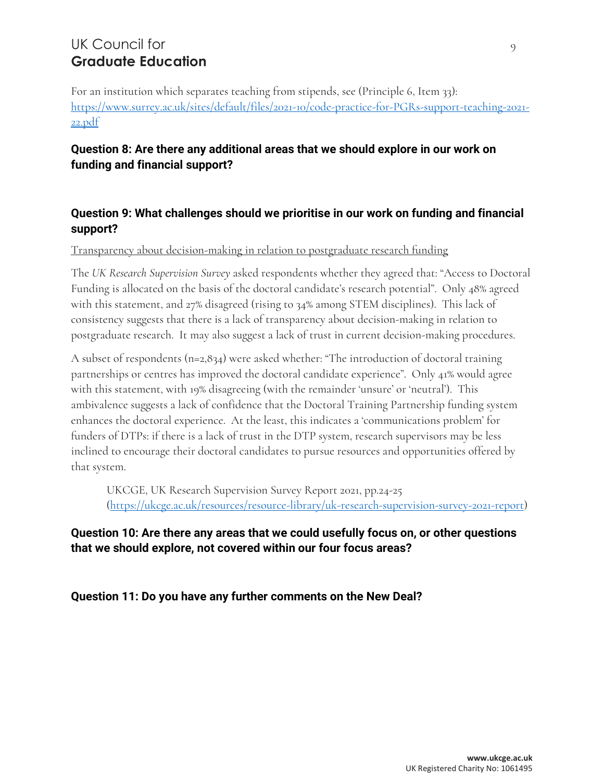# UK Council for 9 **Graduate Education**

For an institution which separates teaching from stipends, see (Principle 6, Item 33): [https://www.surrey.ac.uk/sites/default/files/2021-10/code-practice-for-PGRs-support-teaching-2021-](https://www.surrey.ac.uk/sites/default/files/2021-10/code-practice-for-PGRs-support-teaching-2021-22.pdf) [22.pdf](https://www.surrey.ac.uk/sites/default/files/2021-10/code-practice-for-PGRs-support-teaching-2021-22.pdf)

## **Question 8: Are there any additional areas that we should explore in our work on funding and financial support?**

## **Question 9: What challenges should we prioritise in our work on funding and financial support?**

Transparency about decision-making in relation to postgraduate research funding

The *UK Research Supervision Survey* asked respondents whether they agreed that: "Access to Doctoral Funding is allocated on the basis of the doctoral candidate's research potential". Only 48% agreed with this statement, and 27% disagreed (rising to 34% among STEM disciplines). This lack of consistency suggests that there is a lack of transparency about decision-making in relation to postgraduate research. It may also suggest a lack of trust in current decision-making procedures.

A subset of respondents (n=2,834) were asked whether: "The introduction of doctoral training partnerships or centres has improved the doctoral candidate experience". Only 41% would agree with this statement, with 19% disagreeing (with the remainder 'unsure' or 'neutral'). This ambivalence suggests a lack of confidence that the Doctoral Training Partnership funding system enhances the doctoral experience. At the least, this indicates a 'communications problem' for funders of DTPs: if there is a lack of trust in the DTP system, research supervisors may be less inclined to encourage their doctoral candidates to pursue resources and opportunities offered by that system.

UKCGE, UK Research Supervision Survey Report 2021, pp.24-25 [\(https://ukcge.ac.uk/resources/resource-library/uk-research-supervision-survey-2021-report\)](https://ukcge.ac.uk/resources/resource-library/uk-research-supervision-survey-2021-report)

### **Question 10: Are there any areas that we could usefully focus on, or other questions that we should explore, not covered within our four focus areas?**

**Question 11: Do you have any further comments on the New Deal?**